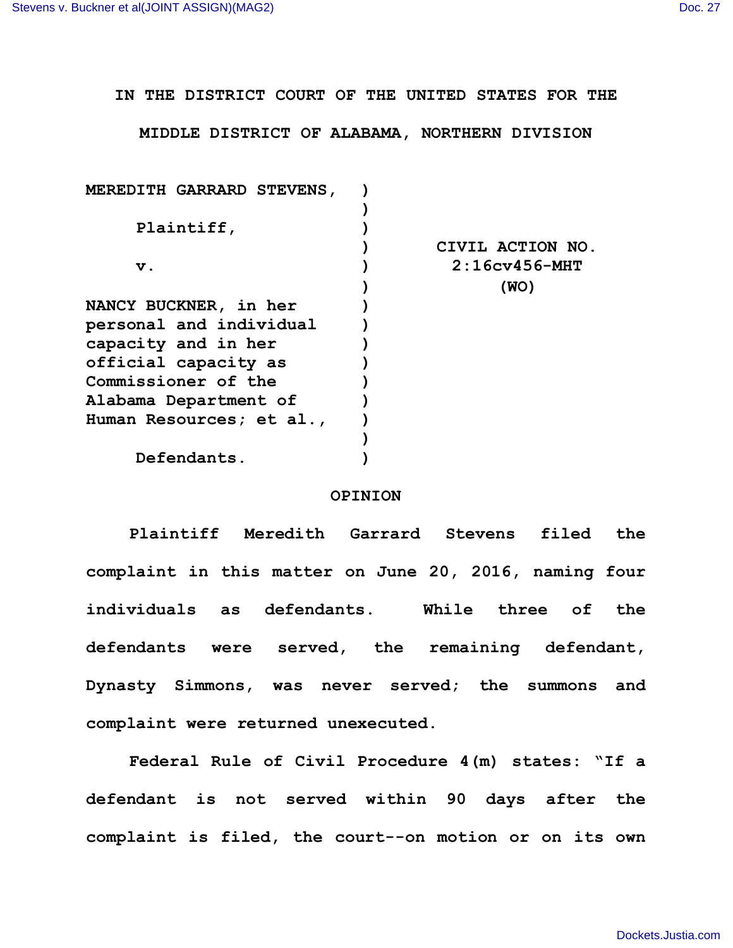## **IN THE DISTRICT COURT OF THE UNITED STATES FOR THE**

## **MIDDLE DISTRICT OF ALABAMA, NORTHERN DIVISION**

| <b>MEREDITH GARRARD STEVENS,</b> |                  |
|----------------------------------|------------------|
|                                  |                  |
| Plaintiff,                       |                  |
|                                  | CIVIL ACTION NO. |
| v.                               | $2:16cy456-MHT$  |
|                                  | (WO)             |
| <b>NANCY BUCKNER, in her</b>     |                  |
| personal and individual          |                  |
| capacity and in her              |                  |
| official capacity as             |                  |
| Commissioner of the              |                  |
| Alabama Department of            |                  |
| Human Resources; et al.,         |                  |
|                                  |                  |
| Defendants.                      |                  |
|                                  |                  |

## **OPINION**

**Plaintiff Meredith Garrard Stevens filed the complaint in this matter on June 20, 2016, naming four individuals as defendants. While three of the defendants were served, the remaining defendant, Dynasty Simmons, was never served; the summons and complaint were returned unexecuted.**

**Federal Rule of Civil Procedure 4(m) states: "If a defendant is not served within 90 days after the complaint is filed, the court--on motion or on its own**